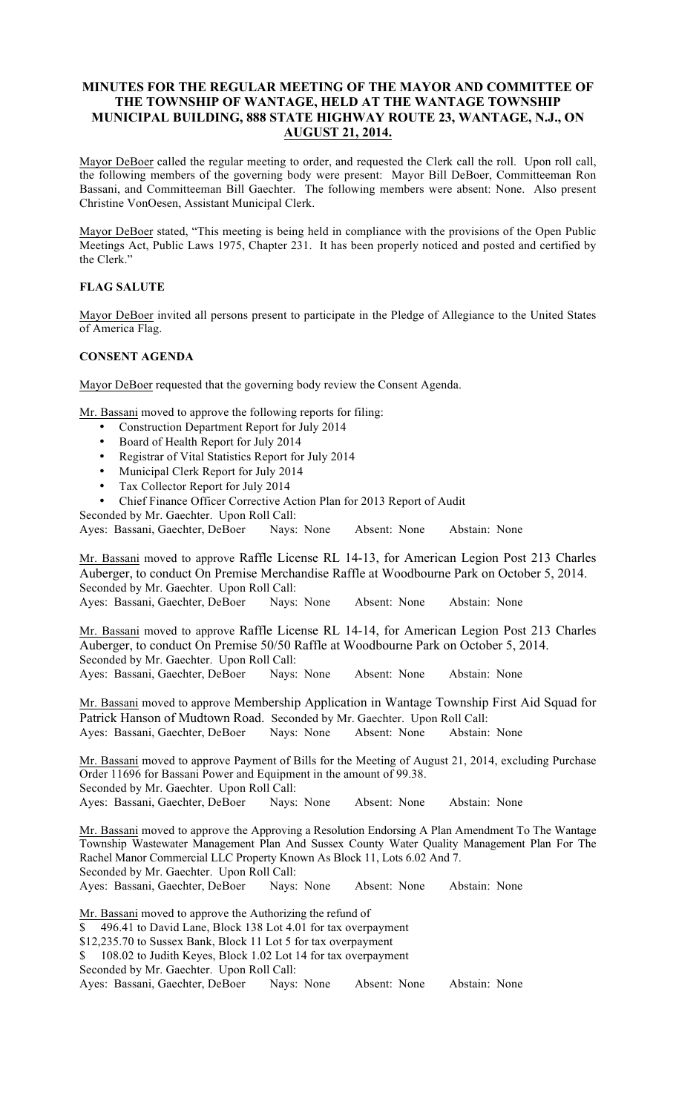# **MINUTES FOR THE REGULAR MEETING OF THE MAYOR AND COMMITTEE OF THE TOWNSHIP OF WANTAGE, HELD AT THE WANTAGE TOWNSHIP MUNICIPAL BUILDING, 888 STATE HIGHWAY ROUTE 23, WANTAGE, N.J., ON AUGUST 21, 2014.**

Mayor DeBoer called the regular meeting to order, and requested the Clerk call the roll. Upon roll call, the following members of the governing body were present: Mayor Bill DeBoer, Committeeman Ron Bassani, and Committeeman Bill Gaechter. The following members were absent: None. Also present Christine VonOesen, Assistant Municipal Clerk.

Mayor DeBoer stated, "This meeting is being held in compliance with the provisions of the Open Public Meetings Act, Public Laws 1975, Chapter 231. It has been properly noticed and posted and certified by the Clerk.'

# **FLAG SALUTE**

Mayor DeBoer invited all persons present to participate in the Pledge of Allegiance to the United States of America Flag.

## **CONSENT AGENDA**

Mayor DeBoer requested that the governing body review the Consent Agenda.

Mr. Bassani moved to approve the following reports for filing:

- Construction Department Report for July 2014
- Board of Health Report for July 2014
- Registrar of Vital Statistics Report for July 2014
- Municipal Clerk Report for July 2014
- Tax Collector Report for July 2014
- Chief Finance Officer Corrective Action Plan for 2013 Report of Audit

Seconded by Mr. Gaechter. Upon Roll Call:

Ayes: Bassani, Gaechter, DeBoer Nays: None Absent: None Abstain: None

Mr. Bassani moved to approve Raffle License RL 14-13, for American Legion Post 213 Charles Auberger, to conduct On Premise Merchandise Raffle at Woodbourne Park on October 5, 2014. Seconded by Mr. Gaechter. Upon Roll Call:

Ayes: Bassani, Gaechter, DeBoer Nays: None Absent: None Abstain: None

Mr. Bassani moved to approve Raffle License RL 14-14, for American Legion Post 213 Charles Auberger, to conduct On Premise 50/50 Raffle at Woodbourne Park on October 5, 2014. Seconded by Mr. Gaechter. Upon Roll Call: Ayes: Bassani, Gaechter, DeBoer Nays: None Absent: None Abstain: None

Mr. Bassani moved to approve Membership Application in Wantage Township First Aid Squad for Patrick Hanson of Mudtown Road. Seconded by Mr. Gaechter. Upon Roll Call: Ayes: Bassani, Gaechter, DeBoer Nays: None Absent: None Abstain: None

Mr. Bassani moved to approve Payment of Bills for the Meeting of August 21, 2014, excluding Purchase Order 11696 for Bassani Power and Equipment in the amount of 99.38. Seconded by Mr. Gaechter. Upon Roll Call:

Ayes: Bassani, Gaechter, DeBoer Nays: None Absent: None Abstain: None

Mr. Bassani moved to approve the Approving a Resolution Endorsing A Plan Amendment To The Wantage Township Wastewater Management Plan And Sussex County Water Quality Management Plan For The Rachel Manor Commercial LLC Property Known As Block 11, Lots 6.02 And 7. Seconded by Mr. Gaechter. Upon Roll Call:

Ayes: Bassani, Gaechter, DeBoer Nays: None Absent: None Abstain: None

Mr. Bassani moved to approve the Authorizing the refund of \$ 496.41 to David Lane, Block 138 Lot 4.01 for tax overpayment \$12,235.70 to Sussex Bank, Block 11 Lot 5 for tax overpayment \$ 108.02 to Judith Keyes, Block 1.02 Lot 14 for tax overpayment Seconded by Mr. Gaechter. Upon Roll Call:

Ayes: Bassani, Gaechter, DeBoer Nays: None Absent: None Abstain: None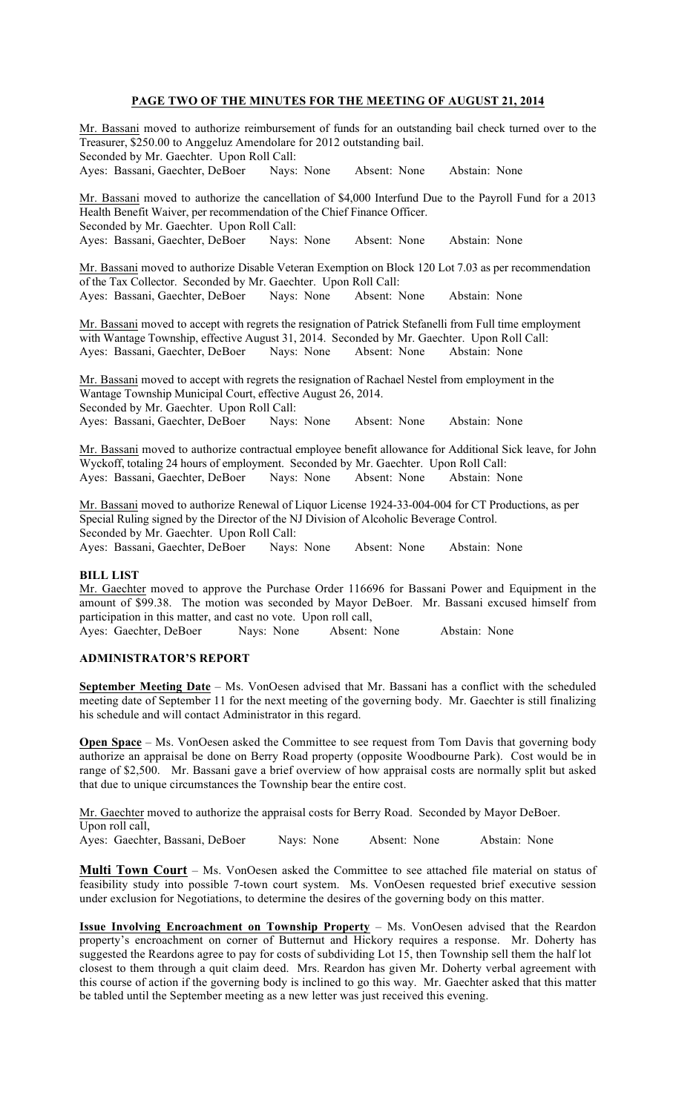# **PAGE TWO OF THE MINUTES FOR THE MEETING OF AUGUST 21, 2014**

Mr. Bassani moved to authorize reimbursement of funds for an outstanding bail check turned over to the Treasurer, \$250.00 to Anggeluz Amendolare for 2012 outstanding bail. Seconded by Mr. Gaechter. Upon Roll Call: Ayes: Bassani, Gaechter, DeBoer Nays: None Absent: None Abstain: None Mr. Bassani moved to authorize the cancellation of \$4,000 Interfund Due to the Payroll Fund for a 2013 Health Benefit Waiver, per recommendation of the Chief Finance Officer. Seconded by Mr. Gaechter. Upon Roll Call: Ayes: Bassani, Gaechter, DeBoer Nays: None Absent: None Abstain: None Mr. Bassani moved to authorize Disable Veteran Exemption on Block 120 Lot 7.03 as per recommendation of the Tax Collector. Seconded by Mr. Gaechter. Upon Roll Call: Ayes: Bassani, Gaechter, DeBoer Nays: None Absent: None Abstain: None Mr. Bassani moved to accept with regrets the resignation of Patrick Stefanelli from Full time employment with Wantage Township, effective August 31, 2014. Seconded by Mr. Gaechter. Upon Roll Call: Ayes: Bassani, Gaechter, DeBoer Nays: None Absent: None Abstain: None Mr. Bassani moved to accept with regrets the resignation of Rachael Nestel from employment in the Wantage Township Municipal Court, effective August 26, 2014. Seconded by Mr. Gaechter. Upon Roll Call: Ayes: Bassani, Gaechter, DeBoer Nays: None Absent: None Abstain: None Mr. Bassani moved to authorize contractual employee benefit allowance for Additional Sick leave, for John Wyckoff, totaling 24 hours of employment. Seconded by Mr. Gaechter. Upon Roll Call: Ayes: Bassani, Gaechter, DeBoer Nays: None Absent: None Abstain: None Mr. Bassani moved to authorize Renewal of Liquor License 1924-33-004-004 for CT Productions, as per Special Ruling signed by the Director of the NJ Division of Alcoholic Beverage Control. Seconded by Mr. Gaechter. Upon Roll Call: Ayes: Bassani, Gaechter, DeBoer Nays: None Absent: None Abstain: None **BILL LIST** 

Mr. Gaechter moved to approve the Purchase Order 116696 for Bassani Power and Equipment in the amount of \$99.38. The motion was seconded by Mayor DeBoer. Mr. Bassani excused himself from participation in this matter, and cast no vote. Upon roll call, Ayes: Gaechter, DeBoer Nays: None Absent: None Abstain: None

## **ADMINISTRATOR'S REPORT**

**September Meeting Date** – Ms. VonOesen advised that Mr. Bassani has a conflict with the scheduled meeting date of September 11 for the next meeting of the governing body. Mr. Gaechter is still finalizing his schedule and will contact Administrator in this regard.

**Open Space** – Ms. VonOesen asked the Committee to see request from Tom Davis that governing body authorize an appraisal be done on Berry Road property (opposite Woodbourne Park). Cost would be in range of \$2,500. Mr. Bassani gave a brief overview of how appraisal costs are normally split but asked that due to unique circumstances the Township bear the entire cost.

Mr. Gaechter moved to authorize the appraisal costs for Berry Road. Seconded by Mayor DeBoer. Upon roll call,

Ayes: Gaechter, Bassani, DeBoer Nays: None Absent: None Abstain: None

**Multi Town Court** – Ms. VonOesen asked the Committee to see attached file material on status of feasibility study into possible 7-town court system. Ms. VonOesen requested brief executive session under exclusion for Negotiations, to determine the desires of the governing body on this matter.

**Issue Involving Encroachment on Township Property** – Ms. VonOesen advised that the Reardon property's encroachment on corner of Butternut and Hickory requires a response. Mr. Doherty has suggested the Reardons agree to pay for costs of subdividing Lot 15, then Township sell them the half lot closest to them through a quit claim deed. Mrs. Reardon has given Mr. Doherty verbal agreement with this course of action if the governing body is inclined to go this way. Mr. Gaechter asked that this matter be tabled until the September meeting as a new letter was just received this evening.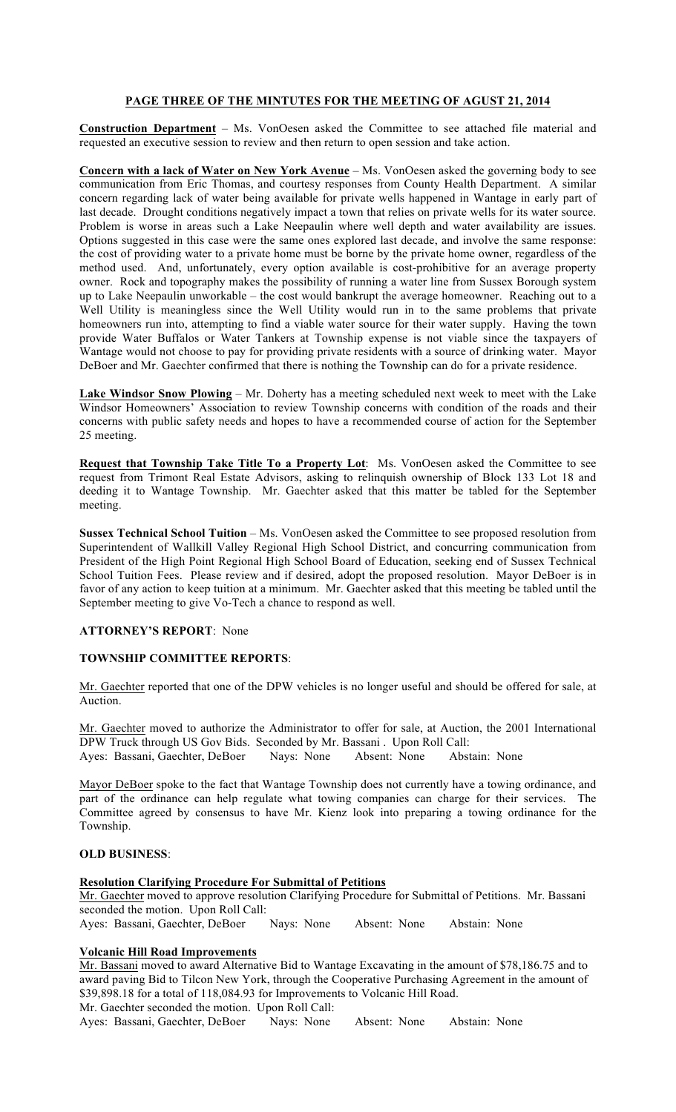# **PAGE THREE OF THE MINTUTES FOR THE MEETING OF AGUST 21, 2014**

**Construction Department** – Ms. VonOesen asked the Committee to see attached file material and requested an executive session to review and then return to open session and take action.

**Concern with a lack of Water on New York Avenue** – Ms. VonOesen asked the governing body to see communication from Eric Thomas, and courtesy responses from County Health Department. A similar concern regarding lack of water being available for private wells happened in Wantage in early part of last decade. Drought conditions negatively impact a town that relies on private wells for its water source. Problem is worse in areas such a Lake Neepaulin where well depth and water availability are issues. Options suggested in this case were the same ones explored last decade, and involve the same response: the cost of providing water to a private home must be borne by the private home owner, regardless of the method used. And, unfortunately, every option available is cost-prohibitive for an average property owner. Rock and topography makes the possibility of running a water line from Sussex Borough system up to Lake Neepaulin unworkable – the cost would bankrupt the average homeowner. Reaching out to a Well Utility is meaningless since the Well Utility would run in to the same problems that private homeowners run into, attempting to find a viable water source for their water supply. Having the town provide Water Buffalos or Water Tankers at Township expense is not viable since the taxpayers of Wantage would not choose to pay for providing private residents with a source of drinking water. Mayor DeBoer and Mr. Gaechter confirmed that there is nothing the Township can do for a private residence.

**Lake Windsor Snow Plowing** – Mr. Doherty has a meeting scheduled next week to meet with the Lake Windsor Homeowners' Association to review Township concerns with condition of the roads and their concerns with public safety needs and hopes to have a recommended course of action for the September 25 meeting.

**Request that Township Take Title To a Property Lot**: Ms. VonOesen asked the Committee to see request from Trimont Real Estate Advisors, asking to relinquish ownership of Block 133 Lot 18 and deeding it to Wantage Township. Mr. Gaechter asked that this matter be tabled for the September meeting.

**Sussex Technical School Tuition** – Ms. VonOesen asked the Committee to see proposed resolution from Superintendent of Wallkill Valley Regional High School District, and concurring communication from President of the High Point Regional High School Board of Education, seeking end of Sussex Technical School Tuition Fees. Please review and if desired, adopt the proposed resolution. Mayor DeBoer is in favor of any action to keep tuition at a minimum. Mr. Gaechter asked that this meeting be tabled until the September meeting to give Vo-Tech a chance to respond as well.

## **ATTORNEY'S REPORT**: None

# **TOWNSHIP COMMITTEE REPORTS**:

Mr. Gaechter reported that one of the DPW vehicles is no longer useful and should be offered for sale, at Auction.

Mr. Gaechter moved to authorize the Administrator to offer for sale, at Auction, the 2001 International DPW Truck through US Gov Bids. Seconded by Mr. Bassani . Upon Roll Call: Ayes: Bassani, Gaechter, DeBoer Nays: None Absent: None Abstain: None

Mayor DeBoer spoke to the fact that Wantage Township does not currently have a towing ordinance, and part of the ordinance can help regulate what towing companies can charge for their services. The Committee agreed by consensus to have Mr. Kienz look into preparing a towing ordinance for the Township.

# **OLD BUSINESS**:

## **Resolution Clarifying Procedure For Submittal of Petitions**

Mr. Gaechter moved to approve resolution Clarifying Procedure for Submittal of Petitions. Mr. Bassani seconded the motion. Upon Roll Call: Ayes: Bassani, Gaechter, DeBoer Nays: None Absent: None Abstain: None

# **Volcanic Hill Road Improvements**

Mr. Bassani moved to award Alternative Bid to Wantage Excavating in the amount of \$78,186.75 and to award paving Bid to Tilcon New York, through the Cooperative Purchasing Agreement in the amount of \$39,898.18 for a total of 118,084.93 for Improvements to Volcanic Hill Road. Mr. Gaechter seconded the motion. Upon Roll Call:

Ayes: Bassani, Gaechter, DeBoer Nays: None Absent: None Abstain: None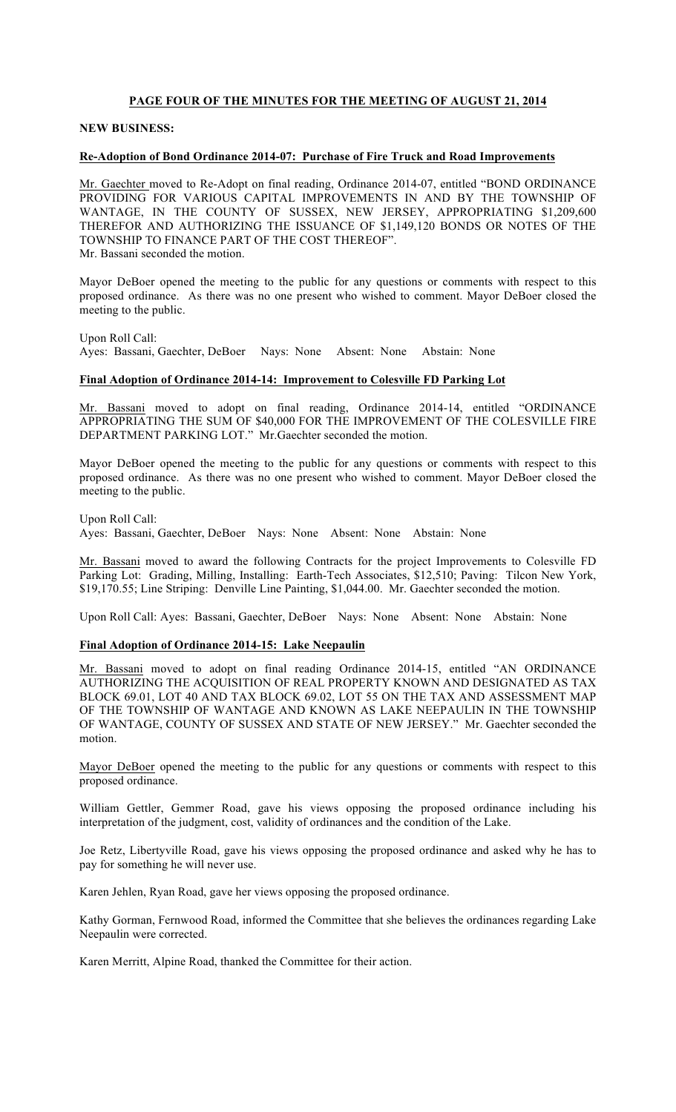# **PAGE FOUR OF THE MINUTES FOR THE MEETING OF AUGUST 21, 2014**

## **NEW BUSINESS:**

### **Re-Adoption of Bond Ordinance 2014-07: Purchase of Fire Truck and Road Improvements**

Mr. Gaechter moved to Re-Adopt on final reading, Ordinance 2014-07, entitled "BOND ORDINANCE PROVIDING FOR VARIOUS CAPITAL IMPROVEMENTS IN AND BY THE TOWNSHIP OF WANTAGE, IN THE COUNTY OF SUSSEX, NEW JERSEY, APPROPRIATING \$1,209,600 THEREFOR AND AUTHORIZING THE ISSUANCE OF \$1,149,120 BONDS OR NOTES OF THE TOWNSHIP TO FINANCE PART OF THE COST THEREOF". Mr. Bassani seconded the motion.

Mayor DeBoer opened the meeting to the public for any questions or comments with respect to this proposed ordinance. As there was no one present who wished to comment. Mayor DeBoer closed the meeting to the public.

Upon Roll Call: Ayes: Bassani, Gaechter, DeBoer Nays: None Absent: None Abstain: None

## **Final Adoption of Ordinance 2014-14: Improvement to Colesville FD Parking Lot**

Mr. Bassani moved to adopt on final reading, Ordinance 2014-14, entitled "ORDINANCE APPROPRIATING THE SUM OF \$40,000 FOR THE IMPROVEMENT OF THE COLESVILLE FIRE DEPARTMENT PARKING LOT." Mr.Gaechter seconded the motion.

Mayor DeBoer opened the meeting to the public for any questions or comments with respect to this proposed ordinance. As there was no one present who wished to comment. Mayor DeBoer closed the meeting to the public.

Upon Roll Call: Ayes: Bassani, Gaechter, DeBoer Nays: None Absent: None Abstain: None

Mr. Bassani moved to award the following Contracts for the project Improvements to Colesville FD Parking Lot: Grading, Milling, Installing: Earth-Tech Associates, \$12,510; Paving: Tilcon New York, \$19,170.55; Line Striping: Denville Line Painting, \$1,044.00. Mr. Gaechter seconded the motion.

Upon Roll Call: Ayes: Bassani, Gaechter, DeBoer Nays: None Absent: None Abstain: None

#### **Final Adoption of Ordinance 2014-15: Lake Neepaulin**

Mr. Bassani moved to adopt on final reading Ordinance 2014-15, entitled "AN ORDINANCE AUTHORIZING THE ACQUISITION OF REAL PROPERTY KNOWN AND DESIGNATED AS TAX BLOCK 69.01, LOT 40 AND TAX BLOCK 69.02, LOT 55 ON THE TAX AND ASSESSMENT MAP OF THE TOWNSHIP OF WANTAGE AND KNOWN AS LAKE NEEPAULIN IN THE TOWNSHIP OF WANTAGE, COUNTY OF SUSSEX AND STATE OF NEW JERSEY." Mr. Gaechter seconded the motion.

Mayor DeBoer opened the meeting to the public for any questions or comments with respect to this proposed ordinance.

William Gettler, Gemmer Road, gave his views opposing the proposed ordinance including his interpretation of the judgment, cost, validity of ordinances and the condition of the Lake.

Joe Retz, Libertyville Road, gave his views opposing the proposed ordinance and asked why he has to pay for something he will never use.

Karen Jehlen, Ryan Road, gave her views opposing the proposed ordinance.

Kathy Gorman, Fernwood Road, informed the Committee that she believes the ordinances regarding Lake Neepaulin were corrected.

Karen Merritt, Alpine Road, thanked the Committee for their action.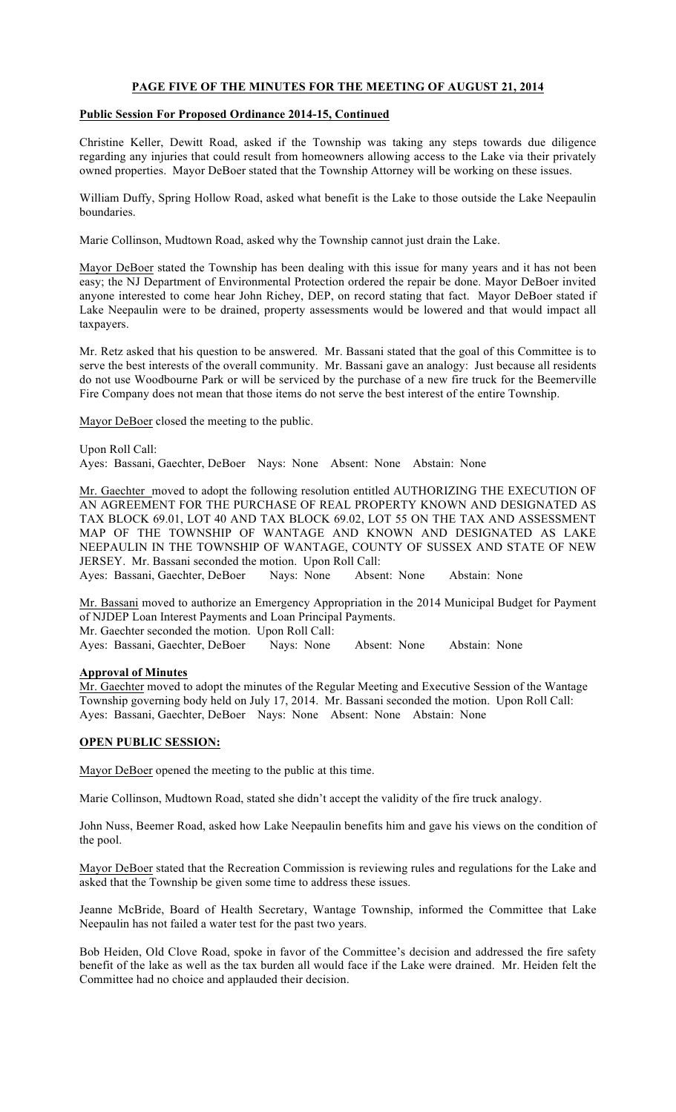# **PAGE FIVE OF THE MINUTES FOR THE MEETING OF AUGUST 21, 2014**

## **Public Session For Proposed Ordinance 2014-15, Continued**

Christine Keller, Dewitt Road, asked if the Township was taking any steps towards due diligence regarding any injuries that could result from homeowners allowing access to the Lake via their privately owned properties. Mayor DeBoer stated that the Township Attorney will be working on these issues.

William Duffy, Spring Hollow Road, asked what benefit is the Lake to those outside the Lake Neepaulin boundaries.

Marie Collinson, Mudtown Road, asked why the Township cannot just drain the Lake.

Mayor DeBoer stated the Township has been dealing with this issue for many years and it has not been easy; the NJ Department of Environmental Protection ordered the repair be done. Mayor DeBoer invited anyone interested to come hear John Richey, DEP, on record stating that fact. Mayor DeBoer stated if Lake Neepaulin were to be drained, property assessments would be lowered and that would impact all taxpayers.

Mr. Retz asked that his question to be answered. Mr. Bassani stated that the goal of this Committee is to serve the best interests of the overall community. Mr. Bassani gave an analogy: Just because all residents do not use Woodbourne Park or will be serviced by the purchase of a new fire truck for the Beemerville Fire Company does not mean that those items do not serve the best interest of the entire Township.

Mayor DeBoer closed the meeting to the public.

Upon Roll Call: Ayes: Bassani, Gaechter, DeBoer Nays: None Absent: None Abstain: None

Mr. Gaechter moved to adopt the following resolution entitled AUTHORIZING THE EXECUTION OF AN AGREEMENT FOR THE PURCHASE OF REAL PROPERTY KNOWN AND DESIGNATED AS TAX BLOCK 69.01, LOT 40 AND TAX BLOCK 69.02, LOT 55 ON THE TAX AND ASSESSMENT MAP OF THE TOWNSHIP OF WANTAGE AND KNOWN AND DESIGNATED AS LAKE NEEPAULIN IN THE TOWNSHIP OF WANTAGE, COUNTY OF SUSSEX AND STATE OF NEW JERSEY. Mr. Bassani seconded the motion. Upon Roll Call:

Ayes: Bassani, Gaechter, DeBoer Nays: None Absent: None Abstain: None

Mr. Bassani moved to authorize an Emergency Appropriation in the 2014 Municipal Budget for Payment of NJDEP Loan Interest Payments and Loan Principal Payments. Mr. Gaechter seconded the motion. Upon Roll Call:

Ayes: Bassani, Gaechter, DeBoer Nays: None Absent: None Abstain: None

#### **Approval of Minutes**

Mr. Gaechter moved to adopt the minutes of the Regular Meeting and Executive Session of the Wantage Township governing body held on July 17, 2014. Mr. Bassani seconded the motion. Upon Roll Call: Ayes: Bassani, Gaechter, DeBoer Nays: None Absent: None Abstain: None

#### **OPEN PUBLIC SESSION:**

Mayor DeBoer opened the meeting to the public at this time.

Marie Collinson, Mudtown Road, stated she didn't accept the validity of the fire truck analogy.

John Nuss, Beemer Road, asked how Lake Neepaulin benefits him and gave his views on the condition of the pool.

Mayor DeBoer stated that the Recreation Commission is reviewing rules and regulations for the Lake and asked that the Township be given some time to address these issues.

Jeanne McBride, Board of Health Secretary, Wantage Township, informed the Committee that Lake Neepaulin has not failed a water test for the past two years.

Bob Heiden, Old Clove Road, spoke in favor of the Committee's decision and addressed the fire safety benefit of the lake as well as the tax burden all would face if the Lake were drained. Mr. Heiden felt the Committee had no choice and applauded their decision.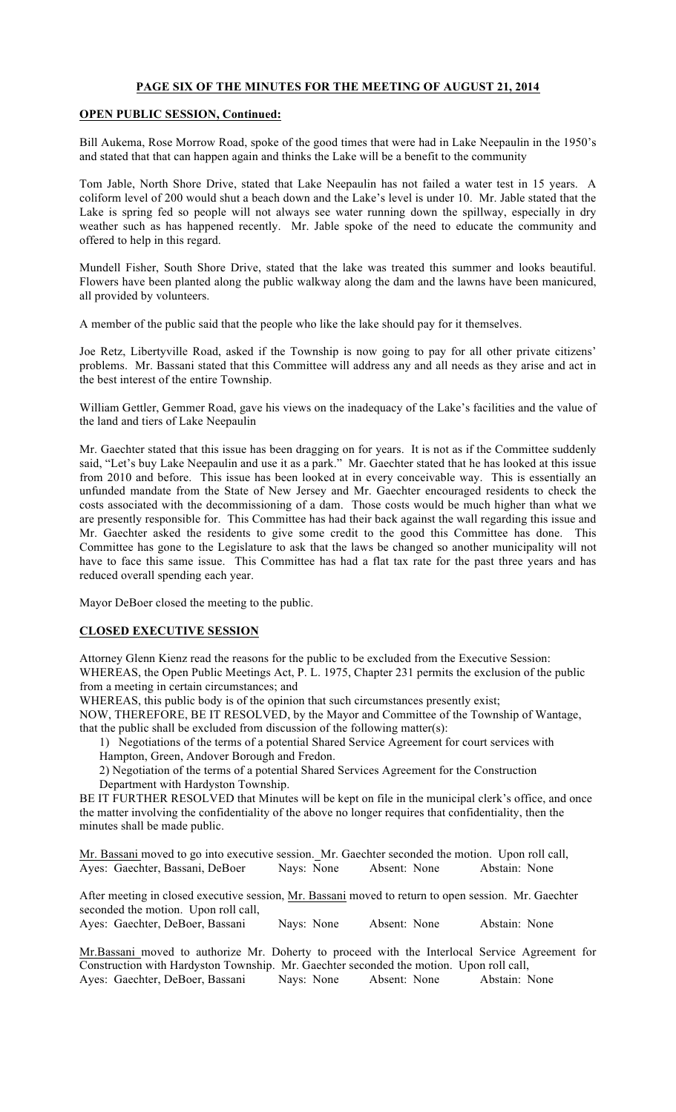## **PAGE SIX OF THE MINUTES FOR THE MEETING OF AUGUST 21, 2014**

## **OPEN PUBLIC SESSION, Continued:**

Bill Aukema, Rose Morrow Road, spoke of the good times that were had in Lake Neepaulin in the 1950's and stated that that can happen again and thinks the Lake will be a benefit to the community

Tom Jable, North Shore Drive, stated that Lake Neepaulin has not failed a water test in 15 years. A coliform level of 200 would shut a beach down and the Lake's level is under 10. Mr. Jable stated that the Lake is spring fed so people will not always see water running down the spillway, especially in dry weather such as has happened recently. Mr. Jable spoke of the need to educate the community and offered to help in this regard.

Mundell Fisher, South Shore Drive, stated that the lake was treated this summer and looks beautiful. Flowers have been planted along the public walkway along the dam and the lawns have been manicured, all provided by volunteers.

A member of the public said that the people who like the lake should pay for it themselves.

Joe Retz, Libertyville Road, asked if the Township is now going to pay for all other private citizens' problems. Mr. Bassani stated that this Committee will address any and all needs as they arise and act in the best interest of the entire Township.

William Gettler, Gemmer Road, gave his views on the inadequacy of the Lake's facilities and the value of the land and tiers of Lake Neepaulin

Mr. Gaechter stated that this issue has been dragging on for years. It is not as if the Committee suddenly said, "Let's buy Lake Neepaulin and use it as a park." Mr. Gaechter stated that he has looked at this issue from 2010 and before. This issue has been looked at in every conceivable way. This is essentially an unfunded mandate from the State of New Jersey and Mr. Gaechter encouraged residents to check the costs associated with the decommissioning of a dam. Those costs would be much higher than what we are presently responsible for. This Committee has had their back against the wall regarding this issue and Mr. Gaechter asked the residents to give some credit to the good this Committee has done. This Committee has gone to the Legislature to ask that the laws be changed so another municipality will not have to face this same issue. This Committee has had a flat tax rate for the past three years and has reduced overall spending each year.

Mayor DeBoer closed the meeting to the public.

## **CLOSED EXECUTIVE SESSION**

Attorney Glenn Kienz read the reasons for the public to be excluded from the Executive Session: WHEREAS, the Open Public Meetings Act, P. L. 1975, Chapter 231 permits the exclusion of the public from a meeting in certain circumstances; and

WHEREAS, this public body is of the opinion that such circumstances presently exist;

NOW, THEREFORE, BE IT RESOLVED, by the Mayor and Committee of the Township of Wantage, that the public shall be excluded from discussion of the following matter(s):

1) Negotiations of the terms of a potential Shared Service Agreement for court services with Hampton, Green, Andover Borough and Fredon.

2) Negotiation of the terms of a potential Shared Services Agreement for the Construction Department with Hardyston Township.

BE IT FURTHER RESOLVED that Minutes will be kept on file in the municipal clerk's office, and once the matter involving the confidentiality of the above no longer requires that confidentiality, then the minutes shall be made public.

Mr. Bassani moved to go into executive session. Mr. Gaechter seconded the motion. Upon roll call, Ayes: Gaechter, Bassani, DeBoer Nays: None Absent: None Abstain: None

After meeting in closed executive session, Mr. Bassani moved to return to open session. Mr. Gaechter seconded the motion. Upon roll call,

Ayes: Gaechter, DeBoer, Bassani Nays: None Absent: None Abstain: None

Mr.Bassani moved to authorize Mr. Doherty to proceed with the Interlocal Service Agreement for Construction with Hardyston Township. Mr. Gaechter seconded the motion. Upon roll call, Ayes: Gaechter, DeBoer, Bassani Nays: None Absent: None Abstain: None